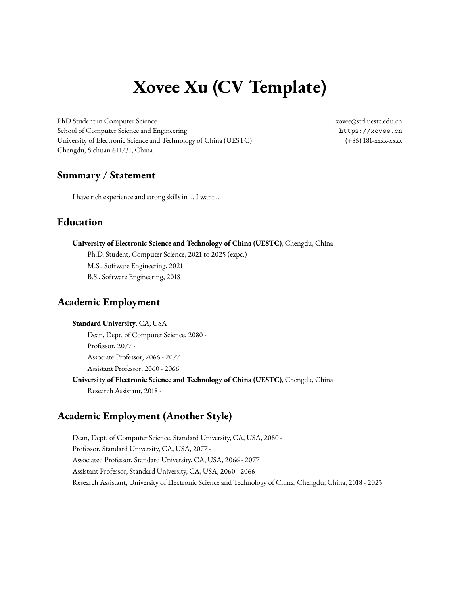# **Xovee Xu (CV Template)**

PhD Student in Computer Science [xovee@std.uestc.edu.cn](mailto:xovee@std.uestc.edu.cn) School of Computer Science and Engineering <https://xovee.cn> University of Electronic Science and Technology of China (UESTC) (+86) 181-xxxx-xxxx Chengdu, Sichuan 611731, China

# **Summary / Statement**

I have rich experience and strong skills in ... I want ...

# **Education**

#### **University of Electronic Science and Technology of China (UESTC)**, Chengdu, China

Ph.D. Student, Computer Science, 2021 to 2025 (expc.) M.S., Software Engineering, 2021 B.S., Software Engineering, 2018

# **Academic Employment**

#### **Standard University**, CA, USA

Dean, Dept. of Computer Science, 2080 - Professor, 2077 - Associate Professor, 2066 - 2077 Assistant Professor, 2060 - 2066

**University of Electronic Science and Technology of China (UESTC)**, Chengdu, China Research Assistant, 2018 -

# **Academic Employment (Another Style)**

Dean, Dept. of Computer Science, Standard University, CA, USA, 2080 - Professor, Standard University, CA, USA, 2077 - Associated Professor, Standard University, CA, USA, 2066 - 2077 Assistant Professor, Standard University, CA, USA, 2060 - 2066 Research Assistant, University of Electronic Science and Technology of China, Chengdu, China, 2018 - 2025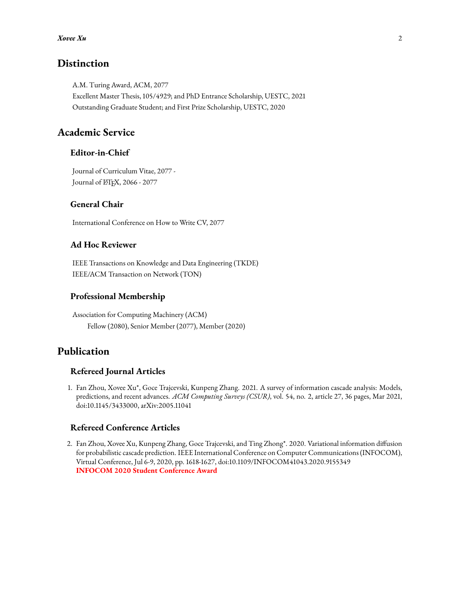### **Distinction**

A.M. Turing Award, ACM, 2077 Excellent Master Thesis, 105/4929; and PhD Entrance Scholarship, UESTC, 2021 Outstanding Graduate Student; and First Prize Scholarship, UESTC, 2020

## **Academic Service**

#### **Editor-in-Chief**

Journal of Curriculum Vitae, 2077 - Journal of L'HEX, 2066 - 2077

#### **General Chair**

International Conference on How to Write CV, 2077

#### **Ad Hoc Reviewer**

IEEE Transactions on Knowledge and Data Engineering (TKDE) IEEE/ACM Transaction on Network (TON)

#### **Professional Membership**

Association for Computing Machinery (ACM) Fellow (2080), Senior Member (2077), Member (2020)

## **Publication**

#### **Refereed Journal Articles**

1. Fan Zhou, Xovee Xu\*, Goce Trajcevski, Kunpeng Zhang. 2021. A survey of information cascade analysis: Models, predictions, and recent advances. *ACM Computing Surveys (CSUR)*, vol. 54, no. 2, article 27, 36 pages, Mar 2021, doi[:10.1145/3433000,](https://xovee.cn/html/paper-redirects/csur2021.html) [arXiv:2005.11041](https://arxiv.org/abs/2005.11041)

#### **Refereed Conference Articles**

2. Fan Zhou, Xovee Xu, Kunpeng Zhang, Goce Trajcevski, and Ting Zhong\*. 2020. Variational information diffusion for probabilistic cascade prediction. IEEE International Conference on Computer Communications (INFOCOM), Virtual Conference, Jul 6-9, 2020, pp. 1618-1627, doi[:10.1109/INFOCOM41043.2020.9155349](https://doi.org/10.1109/INFOCOM41043.2020.9155349) **INFOCOM 2020 Student Conference Award**